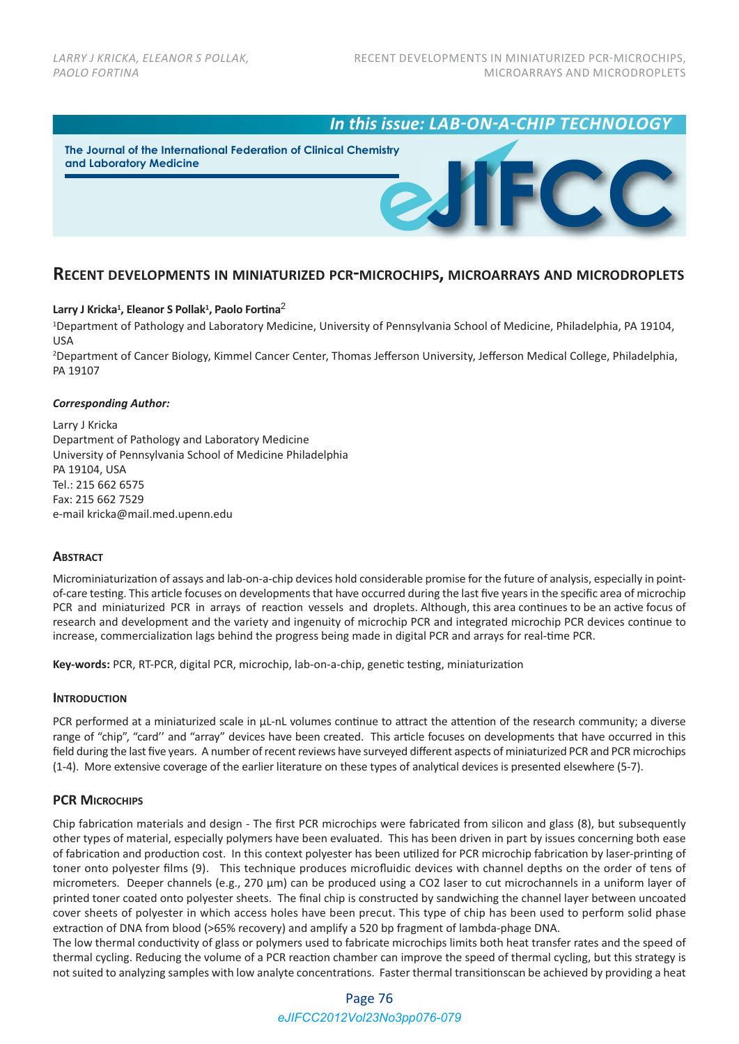*In this issue: LAB-ON-A-CHIP TECHNOLOGY*

**The Journal of the International Federation of Clinical Chemistry and Laboratory Medicine**

# **RECENT DEVELOPMENTS IN MINIATURIZED PCR-MICROCHIPS, MICROARRAYS AND MICRODROPLETS**

## **Larry J Kricka1 , Eleanor S Pollak1 , Paolo Fortina**<sup>2</sup>

1Department of Pathology and Laboratory Medicine, University of Pennsylvania School of Medicine, Philadelphia, PA 19104, USA

2Department of Cancer Biology, Kimmel Cancer Center, Thomas Jefferson University, Jefferson Medical College, Philadelphia, PA 19107

#### *Corresponding Author:*

Larry J Kricka Department of Pathology and Laboratory Medicine University of Pennsylvania School of Medicine Philadelphia PA 19104, USA Tel.: 215 662 6575 Fax: 215 662 7529 e‐mail kricka@mail.med.upenn.edu

## **ABSTRACT**

Microminiaturization of assays and lab-on-a-chip devices hold considerable promise for the future of analysis, especially in pointof-care testing. This article focuses on developments that have occurred during the last five years in the specific area of microchip PCR and miniaturized PCR in arrays of reaction vessels and droplets. Although, this area continues to be an active focus of research and development and the variety and ingenuity of microchip PCR and integrated microchip PCR devices continue to increase, commercialization lags behind the progress being made in digital PCR and arrays for real‐time PCR.

**Key‐words:** PCR, RT‐PCR, digital PCR, microchip, lab‐on‐a‐chip, genetic testing, miniaturization

### **INTRODUCTION**

PCR performed at a miniaturized scale in  $\mu$ L-nL volumes continue to attract the attention of the research community; a diverse range of "chip", "card'' and "array" devices have been created. This article focuses on developments that have occurred in this field during the last five years. A number of recent reviews have surveyed different aspects of miniaturized PCR and PCR microchips (1‐4). More extensive coverage of the earlier literature on these types of analytical devices is presented elsewhere (5‐7).

## **PCR MICROCHIPS**

Chip fabrication materials and design ‐ The first PCR microchips were fabricated from silicon and glass (8), but subsequently other types of material, especially polymers have been evaluated. This has been driven in part by issues concerning both ease of fabrication and production cost. In this context polyester has been utilized for PCR microchip fabrication by laser‐printing of toner onto polyester films (9). This technique produces microfluidic devices with channel depths on the order of tens of micrometers. Deeper channels (e.g., 270 µm) can be produced using a CO2 laser to cut microchannels in a uniform layer of printed toner coated onto polyester sheets. The final chip is constructed by sandwiching the channel layer between uncoated cover sheets of polyester in which access holes have been precut. This type of chip has been used to perform solid phase extraction of DNA from blood (>65% recovery) and amplify a 520 bp fragment of lambda-phage DNA.

The low thermal conductivity of glass or polymers used to fabricate microchips limits both heat transfer rates and the speed of thermal cycling. Reducing the volume of a PCR reaction chamber can improve the speed of thermal cycling, but this strategy is not suited to analyzing samples with low analyte concentrations. Faster thermal transitionscan be achieved by providing a heat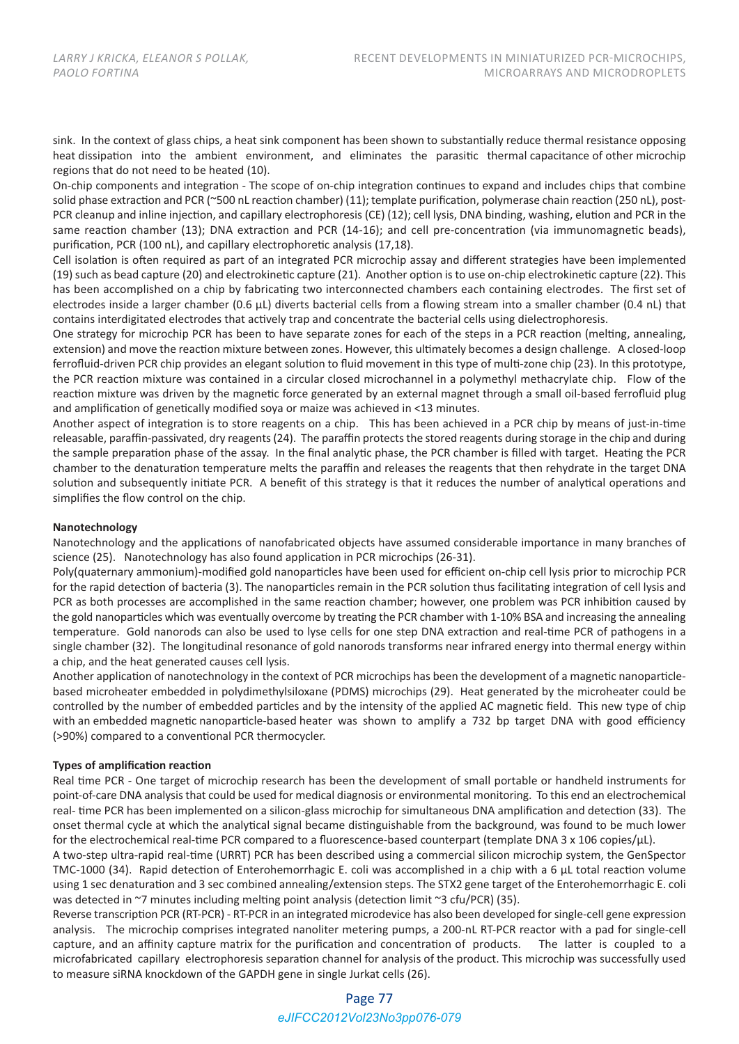sink. In the context of glass chips, a heat sink component has been shown to substantially reduce thermal resistance opposing heat dissipation into the ambient environment, and eliminates the parasitic thermal capacitance of other microchip regions that do not need to be heated (10).

On‐chip components and integration ‐ The scope of on‐chip integration continues to expand and includes chips that combine solid phase extraction and PCR (~500 nL reaction chamber) (11); template purification, polymerase chain reaction (250 nL), post-PCR cleanup and inline injection, and capillary electrophoresis (CE) (12); cell lysis, DNA binding, washing, elution and PCR in the same reaction chamber (13); DNA extraction and PCR (14-16); and cell pre-concentration (via immunomagnetic beads), purification, PCR (100 nL), and capillary electrophoretic analysis (17,18).

Cell isolation is often required as part of an integrated PCR microchip assay and different strategies have been implemented (19) such as bead capture (20) and electrokinetic capture (21). Another option is to use on‐chip electrokinetic capture (22). This has been accomplished on a chip by fabricating two interconnected chambers each containing electrodes. The first set of electrodes inside a larger chamber (0.6  $\mu$ L) diverts bacterial cells from a flowing stream into a smaller chamber (0.4 nL) that contains interdigitated electrodes that actively trap and concentrate the bacterial cells using dielectrophoresis.

One strategy for microchip PCR has been to have separate zones for each of the steps in a PCR reaction (melting, annealing, extension) and move the reaction mixture between zones. However, this ultimately becomes a design challenge. A closed‐loop ferrofluid-driven PCR chip provides an elegant solution to fluid movement in this type of multi-zone chip (23). In this prototype, the PCR reaction mixture was contained in a circular closed microchannel in a polymethyl methacrylate chip. Flow of the reaction mixture was driven by the magnetic force generated by an external magnet through a small oil‐based ferrofluid plug and amplification of genetically modified soya or maize was achieved in <13 minutes.

Another aspect of integration is to store reagents on a chip. This has been achieved in a PCR chip by means of just‐in‐time releasable, paraffin‐passivated, dry reagents (24). The paraffin protects the stored reagents during storage in the chip and during the sample preparation phase of the assay. In the final analytic phase, the PCR chamber is filled with target. Heating the PCR chamber to the denaturation temperature melts the paraffin and releases the reagents that then rehydrate in the target DNA solution and subsequently initiate PCR. A benefit of this strategy is that it reduces the number of analytical operations and simplifies the flow control on the chip.

## **Nanotechnology**

Nanotechnology and the applications of nanofabricated objects have assumed considerable importance in many branches of science (25). Nanotechnology has also found application in PCR microchips (26‐31).

Poly(quaternary ammonium)-modified gold nanoparticles have been used for efficient on-chip cell lysis prior to microchip PCR for the rapid detection of bacteria (3). The nanoparticles remain in the PCR solution thus facilitating integration of cell lysis and PCR as both processes are accomplished in the same reaction chamber; however, one problem was PCR inhibition caused by the gold nanoparticles which was eventually overcome by treating the PCR chamber with 1‐10% BSA and increasing the annealing temperature. Gold nanorods can also be used to lyse cells for one step DNA extraction and real‐time PCR of pathogens in a single chamber (32). The longitudinal resonance of gold nanorods transforms near infrared energy into thermal energy within a chip, and the heat generated causes cell lysis.

Another application of nanotechnology in the context of PCR microchips has been the development of a magnetic nanoparticle‐ based microheater embedded in polydimethylsiloxane (PDMS) microchips (29). Heat generated by the microheater could be controlled by the number of embedded particles and by the intensity of the applied AC magnetic field. This new type of chip with an embedded magnetic nanoparticle-based heater was shown to amplify a 732 bp target DNA with good efficiency (>90%) compared to a conventional PCR thermocycler.

#### **Types of amplification reaction**

Real time PCR - One target of microchip research has been the development of small portable or handheld instruments for point-of-care DNA analysis that could be used for medical diagnosis or environmental monitoring. To this end an electrochemical real‐ time PCR has been implemented on a silicon‐glass microchip for simultaneous DNA amplification and detection (33). The onset thermal cycle at which the analytical signal became distinguishable from the background, was found to be much lower for the electrochemical real-time PCR compared to a fluorescence-based counterpart (template DNA 3 x 106 copies/µL).

A two‐step ultra‐rapid real‐time (URRT) PCR has been described using a commercial silicon microchip system, the GenSpector TMC-1000 (34). Rapid detection of Enterohemorrhagic E. coli was accomplished in a chip with a 6 µL total reaction volume using 1 sec denaturation and 3 sec combined annealing/extension steps. The STX2 gene target of the Enterohemorrhagic E. coli was detected in ~7 minutes including melting point analysis (detection limit ~3 cfu/PCR) (35).

Reverse transcription PCR (RT‐PCR) ‐ RT‐PCR in an integrated microdevice has also been developed for single‐cell gene expression analysis. The microchip comprises integrated nanoliter metering pumps, a 200-nL RT-PCR reactor with a pad for single-cell capture, and an affinity capture matrix for the purification and concentration of products. The latter is coupled to a microfabricated capillary electrophoresis separation channel for analysis of the product. This microchip was successfully used to measure siRNA knockdown of the GAPDH gene in single Jurkat cells (26).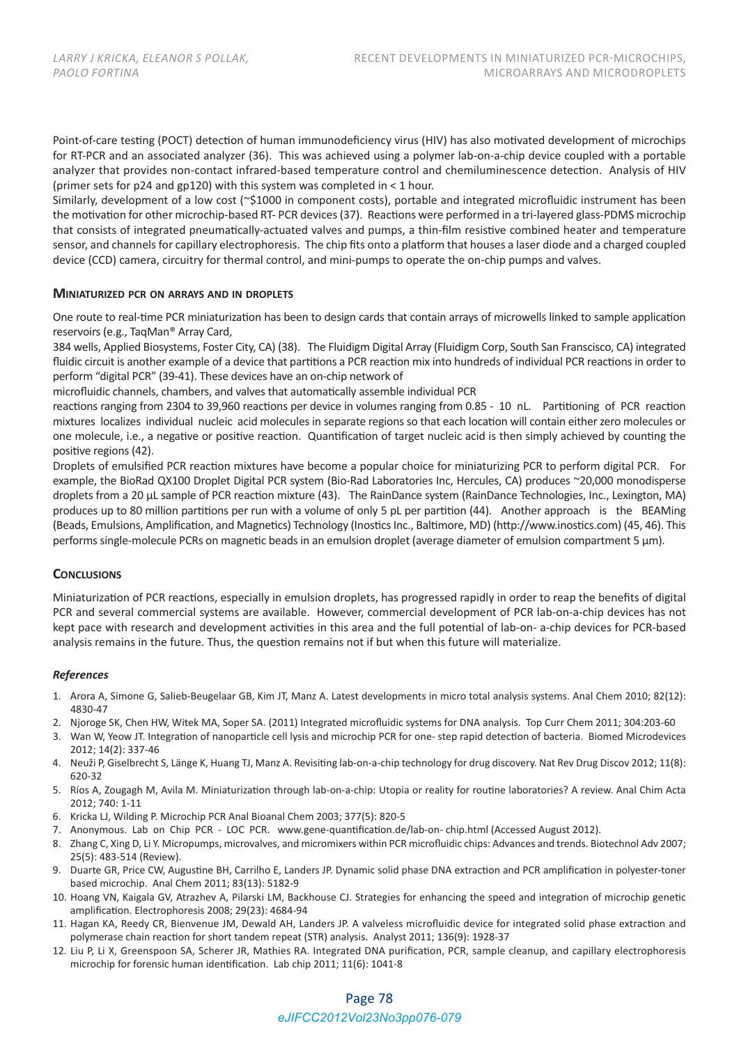Point-of-care testing (POCT) detection of human immunodeficiency virus (HIV) has also motivated development of microchips for RT‐PCR and an associated analyzer (36). This was achieved using a polymer lab‐on‐a‐chip device coupled with a portable analyzer that provides non-contact infrared-based temperature control and chemiluminescence detection. Analysis of HIV (primer sets for p24 and gp120) with this system was completed in < 1 hour.

Similarly, development of a low cost (~\$1000 in component costs), portable and integrated microfluidic instrument has been the motivation for other microchip‐based RT‐ PCR devices (37). Reactions were performed in a tri‐layered glass‐PDMS microchip that consists of integrated pneumatically‐actuated valves and pumps, a thin‐film resistive combined heater and temperature sensor, and channels for capillary electrophoresis. The chip fits onto a platform that houses a laser diode and a charged coupled device (CCD) camera, circuitry for thermal control, and mini‐pumps to operate the on‐chip pumps and valves.

### **MINIATURIZED PCR ON ARRAYS AND IN DROPLETS**

One route to real‐time PCR miniaturization has been to design cards that contain arrays of microwells linked to sample application reservoirs (e.g., TaqMan® Array Card,

384 wells, Applied Biosystems, Foster City, CA) (38). The Fluidigm Digital Array (Fluidigm Corp, South San Franscisco, CA) integrated fluidic circuit is another example of a device that partitions a PCR reaction mix into hundreds of individual PCR reactions in order to perform "digital PCR" (39-41). These devices have an on-chip network of

microfluidic channels, chambers, and valves that automatically assemble individual PCR

reactions ranging from 2304 to 39,960 reactions per device in volumes ranging from 0.85 ‐ 10 nL. Partitioning of PCR reaction mixtures localizes individual nucleic acid molecules in separate regions so that each location will contain either zero molecules or one molecule, i.e., a negative or positive reaction. Quantification of target nucleic acid is then simply achieved by counting the positive regions (42).

Droplets of emulsified PCR reaction mixtures have become a popular choice for miniaturizing PCR to perform digital PCR. For example, the BioRad QX100 Droplet Digital PCR system (Bio‐Rad Laboratories Inc, Hercules, CA) produces ~20,000 monodisperse droplets from a 20 µL sample of PCR reaction mixture (43). The RainDance system (RainDance Technologies, Inc., Lexington, MA) produces up to 80 million partitions per run with a volume of only 5 pL per partition (44). Another approach is the BEAMing (Beads, Emulsions, Amplification, and Magnetics) Technology (Inostics Inc., Baltimore, MD) (http://www.inostics.com) (45, 46). This performs single‐molecule PCRs on magnetic beads in an emulsion droplet (average diameter of emulsion compartment 5 µm).

## **CONCLUSIONS**

Miniaturization of PCR reactions, especially in emulsion droplets, has progressed rapidly in order to reap the benefits of digital PCR and several commercial systems are available. However, commercial development of PCR lab‐on‐a‐chip devices has not kept pace with research and development activities in this area and the full potential of lab‐on‐ a‐chip devices for PCR‐based analysis remains in the future. Thus, the question remains not if but when this future will materialize.

#### *References*

- 1. Arora A, Simone G, Salieb‐Beugelaar GB, Kim JT, Manz A. Latest developments in micro total analysis systems. Anal Chem 2010; 82(12): 4830‐47
- 2. Njoroge SK, Chen HW, Witek MA, Soper SA. (2011) Integrated microfluidic systems for DNA analysis. Top Curr Chem 2011; 304:203‐60
- 3. Wan W, Yeow JT. Integration of nanoparticle cell lysis and microchip PCR for one‐ step rapid detection of bacteria. Biomed Microdevices 2012; 14(2): 337‐46
- 4. Neuži P, Giselbrecht S, Länge K, Huang TJ, Manz A. Revisiting lab‐on‐a‐chip technology for drug discovery. Nat Rev Drug Discov 2012; 11(8): 620‐32
- 5. Ríos A, Zougagh M, Avila M. Miniaturization through lab‐on‐a‐chip: Utopia or reality for routine laboratories? A review. Anal Chim Acta 2012; 740: 1‐11
- 6. Kricka LJ, Wilding P. Microchip PCR Anal Bioanal Chem 2003; 377(5): 820‐5
- 7. Anonymous. Lab on Chip PCR ‐ LOC PCR. www.gene‐quantification.de/lab‐on‐ chip.html (Accessed August 2012).
- 8. Zhang C, Xing D, Li Y. Micropumps, microvalves, and micromixers within PCR microfluidic chips: Advances and trends. Biotechnol Adv 2007; 25(5): 483‐514 (Review).
- 9. Duarte GR, Price CW, Augustine BH, Carrilho E, Landers JP. Dynamic solid phase DNA extraction and PCR amplification in polyester-toner based microchip. Anal Chem 2011; 83(13): 5182‐9
- 10. Hoang VN, Kaigala GV, Atrazhev A, Pilarski LM, Backhouse CJ. Strategies for enhancing the speed and integration of microchip genetic amplification. Electrophoresis 2008; 29(23): 4684‐94
- 11. Hagan KA, Reedy CR, Bienvenue JM, Dewald AH, Landers JP. A valveless microfluidic device for integrated solid phase extraction and polymerase chain reaction for short tandem repeat (STR) analysis. Analyst 2011; 136(9): 1928‐37
- 12. Liu P, Li X, Greenspoon SA, Scherer JR, Mathies RA. Integrated DNA purification, PCR, sample cleanup, and capillary electrophoresis microchip for forensic human identification. Lab chip 2011; 11(6): 1041‐8

## Page 78

## *eJIFCC2012Vol23No3pp076-079*